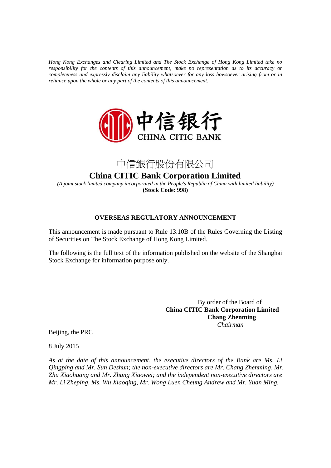*Hong Kong Exchanges and Clearing Limited and The Stock Exchange of Hong Kong Limited take no responsibility for the contents of this announcement, make no representation as to its accuracy or completeness and expressly disclaim any liability whatsoever for any loss howsoever arising from or in reliance upon the whole or any part of the contents of this announcement.* 





**China CITIC Bank Corporation Limited**

*(A joint stock limited company incorporated in the People's Republic of China with limited liability)*  **(Stock Code: 998)**

## **OVERSEAS REGULATORY ANNOUNCEMENT**

This announcement is made pursuant to Rule 13.10B of the Rules Governing the Listing of Securities on The Stock Exchange of Hong Kong Limited.

The following is the full text of the information published on the website of the Shanghai Stock Exchange for information purpose only.

> By order of the Board of  **China CITIC Bank Corporation Limited Chang Zhenming**   *Chairman*

Beijing, the PRC

8 July 2015

*As at the date of this announcement, the executive directors of the Bank are Ms. Li Qingping and Mr. Sun Deshun; the non-executive directors are Mr. Chang Zhenming, Mr. Zhu Xiaohuang and Mr. Zhang Xiaowei; and the independent non-executive directors are Mr. Li Zheping, Ms. Wu Xiaoqing, Mr. Wong Luen Cheung Andrew and Mr. Yuan Ming.*